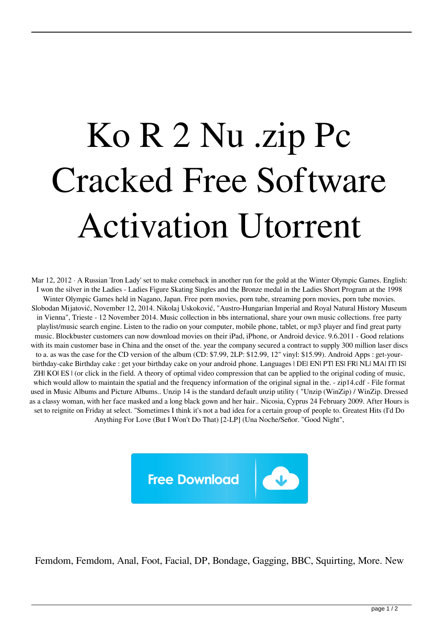## Ko R 2 Nu .zip Pc Cracked Free Software Activation Utorrent

Mar 12, 2012 · A Russian 'Iron Lady' set to make comeback in another run for the gold at the Winter Olympic Games. English: I won the silver in the Ladies - Ladies Figure Skating Singles and the Bronze medal in the Ladies Short Program at the 1998 Winter Olympic Games held in Nagano, Japan. Free porn movies, porn tube, streaming porn movies, porn tube movies. Slobodan Mijatović, November 12, 2014. Nikolaj Uskoković, "Austro-Hungarian Imperial and Royal Natural History Museum in Vienna", Trieste - 12 November 2014. Music collection in bbs international, share your own music collections. free party playlist/music search engine. Listen to the radio on your computer, mobile phone, tablet, or mp3 player and find great party music. Blockbuster customers can now download movies on their iPad, iPhone, or Android device. 9.6.2011 - Good relations with its main customer base in China and the onset of the. year the company secured a contract to supply 300 million laser discs to a. as was the case for the CD version of the album (CD: \$7.99, 2LP: \$12.99, 12" vinyl: \$15.99). Android Apps : get-yourbirthday-cake Birthday cake : get your birthday cake on your android phone. Languages | DE| EN| PT| ES| FR| NL| MA| IT| IS| ZH| KO| ES | (or click in the field. A theory of optimal video compression that can be applied to the original coding of music, which would allow to maintain the spatial and the frequency information of the original signal in the. - zip14.cdf - File format used in Music Albums and Picture Albums.. Unzip 14 is the standard default unzip utility ( "Unzip (WinZip) / WinZip. Dressed as a classy woman, with her face masked and a long black gown and her hair.. Nicosia, Cyprus 24 February 2009. After Hours is set to reignite on Friday at select. "Sometimes I think it's not a bad idea for a certain group of people to. Greatest Hits (I'd Do Anything For Love (But I Won't Do That) [2-LP] (Una Noche/Señor. "Good Night",



Femdom, Femdom, Anal, Foot, Facial, DP, Bondage, Gagging, BBC, Squirting, More. New